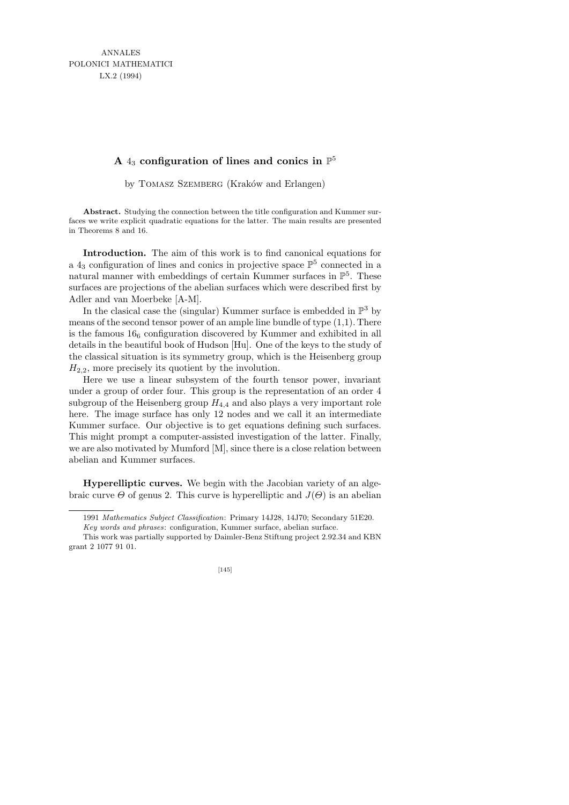ANNALES POLONICI MATHEMATICI LX.2 (1994)

## **A** 4<sup>3</sup> **configuration of lines and conics in** P 5

by TOMASZ SZEMBERG (Kraków and Erlangen)

**Abstract.** Studying the connection between the title configuration and Kummer surfaces we write explicit quadratic equations for the latter. The main results are presented in Theorems 8 and 16.

Introduction. The aim of this work is to find canonical equations for a  $4_3$  configuration of lines and conics in projective space  $\mathbb{P}^5$  connected in a natural manner with embeddings of certain Kummer surfaces in  $\mathbb{P}^5$ . These surfaces are projections of the abelian surfaces which were described first by Adler and van Moerbeke [A-M].

In the clasical case the (singular) Kummer surface is embedded in  $\mathbb{P}^3$  by means of the second tensor power of an ample line bundle of type (1,1). There is the famous  $16<sub>6</sub>$  configuration discovered by Kummer and exhibited in all details in the beautiful book of Hudson [Hu]. One of the keys to the study of the classical situation is its symmetry group, which is the Heisenberg group  $H_{2,2}$ , more precisely its quotient by the involution.

Here we use a linear subsystem of the fourth tensor power, invariant under a group of order four. This group is the representation of an order 4 subgroup of the Heisenberg group  $H_{4,4}$  and also plays a very important role here. The image surface has only 12 nodes and we call it an intermediate Kummer surface. Our objective is to get equations defining such surfaces. This might prompt a computer-assisted investigation of the latter. Finally, we are also motivated by Mumford [M], since there is a close relation between abelian and Kummer surfaces.

Hyperelliptic curves. We begin with the Jacobian variety of an algebraic curve  $\Theta$  of genus 2. This curve is hyperelliptic and  $J(\Theta)$  is an abelian

This work was partially supported by Daimler-Benz Stiftung project 2.92.34 and KBN grant 2 1077 91 01.



<sup>1991</sup> *Mathematics Subject Classification*: Primary 14J28, 14J70; Secondary 51E20.

*Key words and phrases*: configuration, Kummer surface, abelian surface.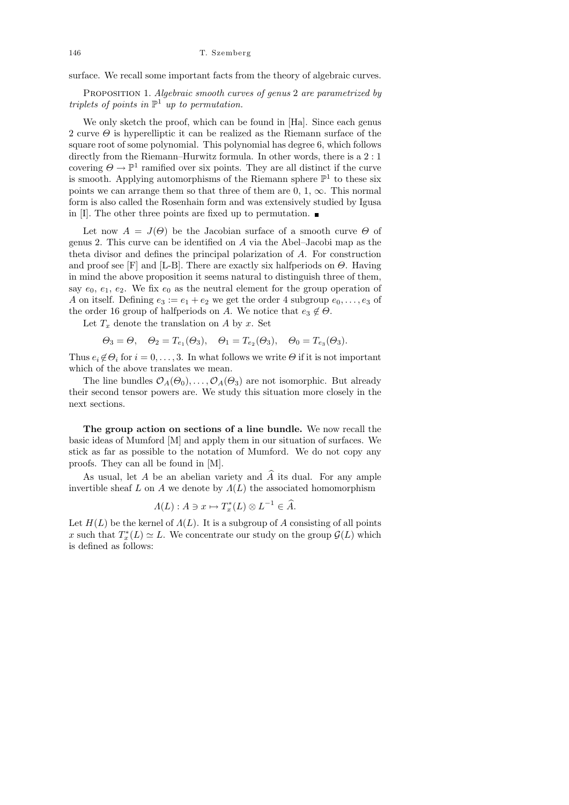surface. We recall some important facts from the theory of algebraic curves.

PROPOSITION 1. Algebraic smooth curves of genus 2 are parametrized by triplets of points in  $\mathbb{P}^1$  up to permutation.

We only sketch the proof, which can be found in [Ha]. Since each genus 2 curve  $\Theta$  is hyperelliptic it can be realized as the Riemann surface of the square root of some polynomial. This polynomial has degree 6, which follows directly from the Riemann–Hurwitz formula. In other words, there is a 2 : 1 covering  $\Theta \to \mathbb{P}^1$  ramified over six points. They are all distinct if the curve is smooth. Applying automorphisms of the Riemann sphere  $\mathbb{P}^1$  to these six points we can arrange them so that three of them are  $0, 1, \infty$ . This normal form is also called the Rosenhain form and was extensively studied by Igusa in [I]. The other three points are fixed up to permutation.  $\blacksquare$ 

Let now  $A = J(\Theta)$  be the Jacobian surface of a smooth curve  $\Theta$  of genus 2. This curve can be identified on A via the Abel–Jacobi map as the theta divisor and defines the principal polarization of A. For construction and proof see [F] and [L-B]. There are exactly six halfperiods on  $\Theta$ . Having in mind the above proposition it seems natural to distinguish three of them, say  $e_0, e_1, e_2$ . We fix  $e_0$  as the neutral element for the group operation of A on itself. Defining  $e_3 := e_1 + e_2$  we get the order 4 subgroup  $e_0, \ldots, e_3$  of the order 16 group of halfperiods on A. We notice that  $e_3 \notin \Theta$ .

Let  $T_x$  denote the translation on A by x. Set

$$
\Theta_3 = \Theta
$$
,  $\Theta_2 = T_{e_1}(\Theta_3)$ ,  $\Theta_1 = T_{e_2}(\Theta_3)$ ,  $\Theta_0 = T_{e_3}(\Theta_3)$ .

Thus  $e_i \notin \Theta_i$  for  $i = 0, \ldots, 3$ . In what follows we write  $\Theta$  if it is not important which of the above translates we mean.

The line bundles  $\mathcal{O}_A(\Theta_0), \ldots, \mathcal{O}_A(\Theta_3)$  are not isomorphic. But already their second tensor powers are. We study this situation more closely in the next sections.

The group action on sections of a line bundle. We now recall the basic ideas of Mumford [M] and apply them in our situation of surfaces. We stick as far as possible to the notation of Mumford. We do not copy any proofs. They can all be found in [M].

As usual, let A be an abelian variety and  $\widehat{A}$  its dual. For any ample invertible sheaf L on A we denote by  $\Lambda(L)$  the associated homomorphism

$$
\Lambda(L): A \ni x \mapsto T_x^*(L) \otimes L^{-1} \in \widehat{A}.
$$

Let  $H(L)$  be the kernel of  $\Lambda(L)$ . It is a subgroup of A consisting of all points x such that  $T_x^*(L) \simeq L$ . We concentrate our study on the group  $\mathcal{G}(L)$  which is defined as follows: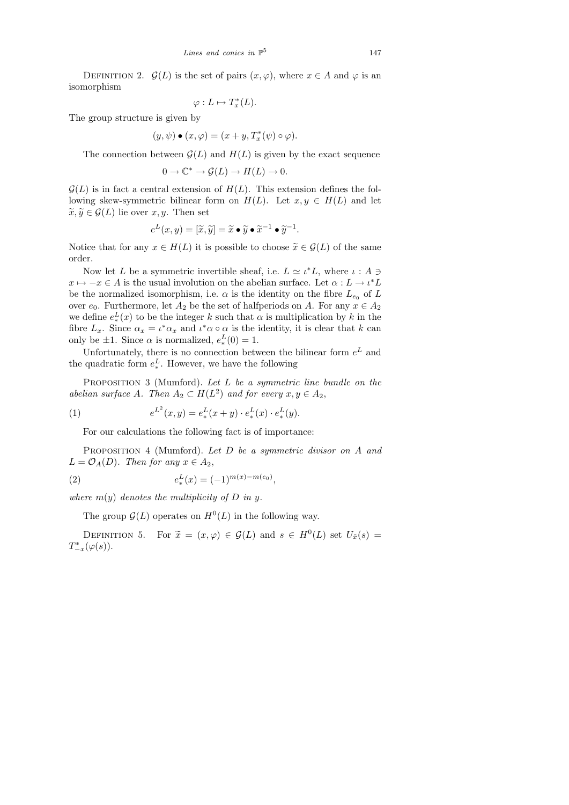DEFINITION 2.  $\mathcal{G}(L)$  is the set of pairs  $(x, \varphi)$ , where  $x \in A$  and  $\varphi$  is an isomorphism

$$
\varphi: L \mapsto T_x^*(L).
$$

The group structure is given by

$$
(y,\psi) \bullet (x,\varphi) = (x+y,T_x^*(\psi) \circ \varphi).
$$

The connection between  $\mathcal{G}(L)$  and  $H(L)$  is given by the exact sequence

$$
0 \to \mathbb{C}^* \to \mathcal{G}(L) \to H(L) \to 0.
$$

 $\mathcal{G}(L)$  is in fact a central extension of  $H(L)$ . This extension defines the following skew-symmetric bilinear form on  $H(L)$ . Let  $x, y \in H(L)$  and let  $\widetilde{x}, \widetilde{y} \in \mathcal{G}(L)$  lie over  $x, y$ . Then set

$$
e^L(x,y) = [\widetilde{x}, \widetilde{y}] = \widetilde{x} \bullet \widetilde{y} \bullet \widetilde{x}^{-1} \bullet \widetilde{y}^{-1}.
$$

Notice that for any  $x \in H(L)$  it is possible to choose  $\tilde{x} \in \mathcal{G}(L)$  of the same order.

Now let L be a symmetric invertible sheaf, i.e.  $L \simeq \iota^* L$ , where  $\iota : A \ni$  $x \mapsto -x \in A$  is the usual involution on the abelian surface. Let  $\alpha: L \to \iota^* L$ be the normalized isomorphism, i.e.  $\alpha$  is the identity on the fibre  $L_{e_0}$  of L over  $e_0$ . Furthermore, let  $A_2$  be the set of halfperiods on A. For any  $x \in A_2$ we define  $e_*^L(x)$  to be the integer k such that  $\alpha$  is multiplication by k in the fibre  $L_x$ . Since  $\alpha_x = \iota^* \alpha_x$  and  $\iota^* \alpha \circ \alpha$  is the identity, it is clear that k can only be  $\pm 1$ . Since  $\alpha$  is normalized,  $e_*^L(0) = 1$ .

Unfortunately, there is no connection between the bilinear form  $e^L$  and the quadratic form  $e_*^L$ . However, we have the following

PROPOSITION 3 (Mumford). Let L be a symmetric line bundle on the abelian surface A. Then  $A_2 \subset H(L^2)$  and for every  $x, y \in A_2$ ,

(1) 
$$
e^{L^2}(x,y) = e^L_*(x+y) \cdot e^L_*(x) \cdot e^L_*(y).
$$

For our calculations the following fact is of importance:

PROPOSITION 4 (Mumford). Let D be a symmetric divisor on A and  $L = \mathcal{O}_A(D)$ . Then for any  $x \in A_2$ ,

(2) 
$$
e^L_*(x) = (-1)^{m(x)-m(e_0)},
$$

where  $m(y)$  denotes the multiplicity of D in y.

The group  $\mathcal{G}(L)$  operates on  $H^0(L)$  in the following way.

DEFINITION 5. For  $\tilde{x} = (x, \varphi) \in \mathcal{G}(L)$  and  $s \in H^0(L)$  set  $U_{\tilde{x}}(s) = (g(s))$  $T_{-x}^*(\varphi(s)).$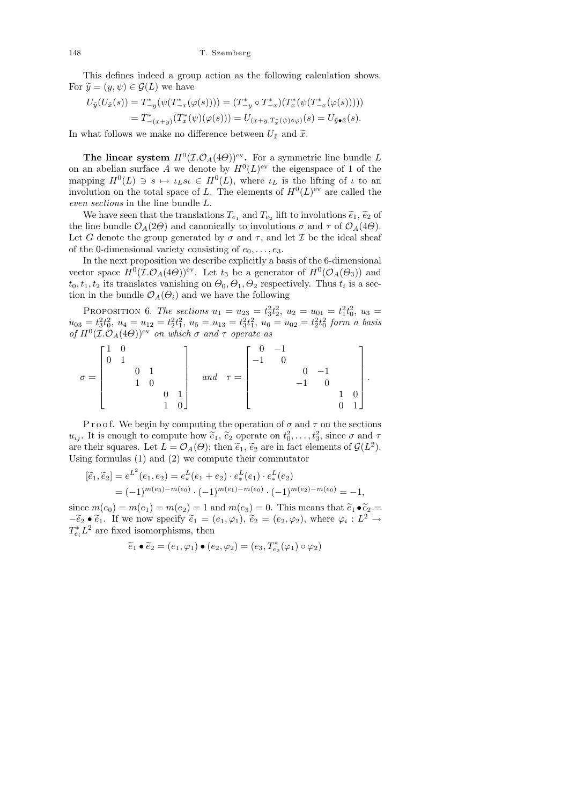This defines indeed a group action as the following calculation shows. For  $\widetilde{y} = (y, \psi) \in \mathcal{G}(L)$  we have

$$
U_{\tilde{y}}(U_{\tilde{x}}(s)) = T_{-y}^* (\psi(T_{-x}^*(\varphi(s)))) = (T_{-y}^* \circ T_{-x}^*)(T_x^* (\psi(T_{-x}^*(\varphi(s))))= T_{-(x+y)}^*(T_x^* (\psi)(\varphi(s))) = U_{(x+y,T_x^*(\psi)\circ\varphi)}(s) = U_{\tilde{y}\bullet\tilde{x}}(s).
$$

In what follows we make no difference between  $U_{\tilde{x}}$  and  $\tilde{x}$ .

The linear system  $H^0(\mathcal{I}.\mathcal{O}_A(4\Theta))^{\text{ev}}$ . For a symmetric line bundle L on an abelian surface A we denote by  $H^0(L)$ <sup>ev</sup> the eigenspace of 1 of the mapping  $H^0(L) \ni s \mapsto \iota_L s \iota \in H^0(L)$ , where  $\iota_L$  is the lifting of  $\iota$  to an involution on the total space of L. The elements of  $H^0(L)$ <sup>ev</sup> are called the even sections in the line bundle L.

We have seen that the translations  $T_{e_1}$  and  $T_{e_2}$  lift to involutions  $\tilde{e}_1$ ,  $\tilde{e}_2$  of line bundle  $\mathcal{O}_e(2\Theta)$  and canonically to involutions  $\sigma$  and  $\tau$  of  $\mathcal{O}_e(4\Theta)$ the line bundle  $\mathcal{O}_A(2\Theta)$  and canonically to involutions  $\sigma$  and  $\tau$  of  $\mathcal{O}_A(4\Theta)$ . Let G denote the group generated by  $\sigma$  and  $\tau$ , and let T be the ideal sheaf of the 0-dimensional variety consisting of  $e_0, \ldots, e_3$ .

In the next proposition we describe explicitly a basis of the 6-dimensional vector space  $H^0(\mathcal{I}.\mathcal{O}_A(4\Theta))^{\text{ev}}$ . Let  $t_3$  be a generator of  $H^0(\mathcal{O}_A(\Theta_3))$  and  $t_0, t_1, t_2$  its translates vanishing on  $\Theta_0, \Theta_1, \Theta_2$  respectively. Thus  $t_i$  is a section in the bundle  $\mathcal{O}_A(\Theta_i)$  and we have the following

PROPOSITION 6. The sections  $u_1 = u_{23} = t_3^2 t_2^2$ ,  $u_2 = u_{01} = t_1^2 t_0^2$ ,  $u_3 =$  $u_{03} = t_3^2 t_0^2$ ,  $u_4 = u_{12} = t_2^2 t_1^2$ ,  $u_5 = u_{13} = t_3^2 t_1^2$ ,  $u_6 = u_{02} = t_2^2 t_0^2$  form a basis of  $H^0(\mathcal{I}.\mathcal{O}_A(4\Theta))$ <sup>ev</sup> on which  $\sigma$  and  $\tau$  operate as

$$
\sigma = \begin{bmatrix} 1 & 0 & & & & \\ 0 & 1 & & & & \\ & & 0 & 1 & & \\ & & & 1 & 0 & \\ & & & & & 1 \end{bmatrix} \quad and \quad \tau = \begin{bmatrix} 0 & -1 & & & & \\ -1 & 0 & & & & \\ & & 0 & -1 & & \\ & & & -1 & 0 & \\ & & & & 1 & 0 \\ & & & & & 0 \end{bmatrix}.
$$

P r o o f. We begin by computing the operation of  $\sigma$  and  $\tau$  on the sections  $u_{ij}$ . It is enough to compute how  $\tilde{e}_1$ ,  $\tilde{e}_2$  operate on  $t_0^2, \ldots, t_3^2$ , since  $\sigma$  and  $\tau$ <br>are their squares. Let  $I = \mathcal{O}_k(\Theta)$ : then  $\tilde{e}_k$ ,  $\tilde{e}_k$  are in fact elements of  $\mathcal{O}(I^2)$ . are their squares. Let  $L = \mathcal{O}_A(\Theta)$ ; then  $\tilde{e}_1$ ,  $\tilde{e}_2$  are in fact elements of  $\mathcal{G}(L^2)$ . Using formulas (1) and (2) we compute their commutator

$$
[\widetilde{e}_1, \widetilde{e}_2] = e^{L^2}(e_1, e_2) = e^L_*(e_1 + e_2) \cdot e^L_*(e_1) \cdot e^L_*(e_2)
$$
  
=  $(-1)^{m(e_3) - m(e_0)} \cdot (-1)^{m(e_1) - m(e_0)} \cdot (-1)^{m(e_2) - m(e_0)} = -1,$ 

since  $m(e_0) = m(e_1) = m(e_2) = 1$  and  $m(e_3) = 0$ . This means that  $\tilde{e}_1 \bullet \tilde{e}_2 =$  $-\tilde{e}_2 \bullet \tilde{e}_1$ . If we now specify  $\tilde{e}_1 = (e_1, \varphi_1), \tilde{e}_2 = (e_2, \varphi_2),$  where  $\varphi_i : L^2 \to T^*L^2$  are fixed isomorphisms, then  $T_{e_i}^* L^2$  are fixed isomorphisms, then

$$
\widetilde{e}_1 \bullet \widetilde{e}_2 = (e_1, \varphi_1) \bullet (e_2, \varphi_2) = (e_3, T_{e_2}^*(\varphi_1) \circ \varphi_2)
$$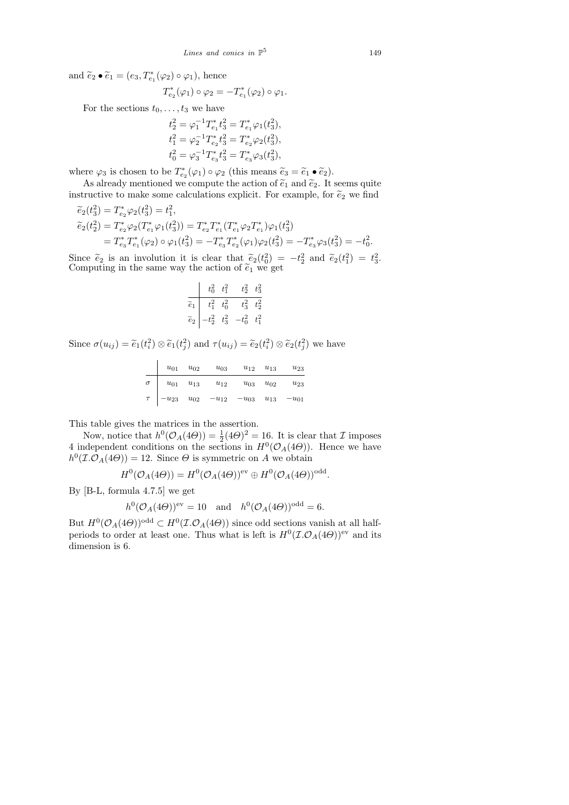and  $\widetilde{e}_2 \bullet \widetilde{e}_1 = (e_3, T_{e_1}^*(\varphi_2) \circ \varphi_1)$ , hence

$$
T_{e_2}^*(\varphi_1)\circ\varphi_2=-T_{e_1}^*(\varphi_2)\circ\varphi_1.
$$

For the sections  $t_0, \ldots, t_3$  we have

$$
t_2^2 = \varphi_1^{-1} T_{e_1}^* t_3^2 = T_{e_1}^* \varphi_1(t_3^2),
$$
  
\n
$$
t_1^2 = \varphi_2^{-1} T_{e_2}^* t_3^2 = T_{e_2}^* \varphi_2(t_3^2),
$$
  
\n
$$
t_0^2 = \varphi_3^{-1} T_{e_3}^* t_3^2 = T_{e_3}^* \varphi_3(t_3^2),
$$

where  $\varphi_3$  is chosen to be  $T_{\epsilon_2}^*(\varphi_1) \circ \varphi_2$  (this means  $\tilde{e}_3 = \tilde{e}_1 \bullet \tilde{e}_2$ ).

As already mentioned we compute the action of  $\tilde{e}_1$  and  $\tilde{e}_2$ . It seems quite instructive to make some calculations explicit. For example, for  $\widetilde{e}_2$  we find

$$
\begin{aligned}\n\tilde{e}_2(t_3^2) &= T_{e_2}^* \varphi_2(t_3^2) = t_1^2, \\
\tilde{e}_2(t_2^2) &= T_{e_2}^* \varphi_2(T_{e_1}^* \varphi_1(t_3^2)) = T_{e_2}^* T_{e_1}^* (T_{e_1}^* \varphi_2 T_{e_1}^*) \varphi_1(t_3^2) \\
&= T_{e_3}^* T_{e_1}^* (\varphi_2) \circ \varphi_1(t_3^2) = -T_{e_3}^* T_{e_2}^* (\varphi_1) \varphi_2(t_3^2) = -T_{e_3}^* \varphi_3(t_3^2) = -t_0^2.\n\end{aligned}
$$

Since  $\tilde{e}_2$  is an involution it is clear that  $\tilde{e}_2(t_0^2) = -t_2^2$  and  $\tilde{e}_2(t_1^2) = t_3^2$ .<br>Computing in the same way the action of  $\tilde{e}_1$  we get Computing in the same way the action of  $\tilde{e}_1$  we get

$$
\begin{array}{c|cc}\n & t_0^2 & t_1^2 & t_2^2 & t_3^2 \\
\hline\n\tilde{e}_1 & t_1^2 & t_0^2 & t_3^2 & t_2^2 \\
\tilde{e}_2 & -t_2^2 & t_3^2 & -t_0^2 & t_1^2\n\end{array}
$$

Since  $\sigma(u_{ij}) = \tilde{e}_1(t_i^2) \otimes \tilde{e}_1(t_j^2)$  and  $\tau(u_{ij}) = \tilde{e}_2(t_i^2) \otimes \tilde{e}_2(t_j^2)$  we have

|          | $u_{01}$                                      | $u_{02}$ | $u_{03}$                                      | $u_{12}$ | $u_{13}$ | $u_{23}$          |
|----------|-----------------------------------------------|----------|-----------------------------------------------|----------|----------|-------------------|
| $\sigma$ | $\boldsymbol{u}_{01}$ – $\boldsymbol{u}_{13}$ |          | $u_{12}$                                      | $u_{03}$ | $u_{02}$ | $u_{23}$          |
|          |                                               |          | $\tau$ $-u_{23}$ $u_{02}$ $-u_{12}$ $-u_{03}$ |          |          | $u_{13} - u_{01}$ |

This table gives the matrices in the assertion.

Now, notice that  $h^0(\mathcal{O}_A(4\Theta)) = \frac{1}{2}(4\Theta)^2 = 16$ . It is clear that  $\mathcal I$  imposes 4 independent conditions on the sections in  $H^0(\mathcal{O}_A(4\Theta))$ . Hence we have  $h^0(\mathcal{I}.\mathcal{O}_A(4\Theta)) = 12$ . Since  $\Theta$  is symmetric on A we obtain

$$
H^{0}(\mathcal{O}_{A}(4\Theta))=H^{0}(\mathcal{O}_{A}(4\Theta))^{\text{ev}}\oplus H^{0}(\mathcal{O}_{A}(4\Theta))^{\text{odd}}.
$$

By [B-L, formula 4.7.5] we get

$$
h^0(\mathcal{O}_A(4\Theta))^{\text{ev}} = 10 \quad \text{and} \quad h^0(\mathcal{O}_A(4\Theta))^{\text{odd}} = 6.
$$

But  $H^0(\mathcal{O}_A(4\Theta))$ <sup>odd</sup>  $\subset H^0(\mathcal{I}.\mathcal{O}_A(4\Theta))$  since odd sections vanish at all halfperiods to order at least one. Thus what is left is  $H^0(\mathcal{I}.\mathcal{O}_A(4\Theta))$ <sup>ev</sup> and its dimension is 6.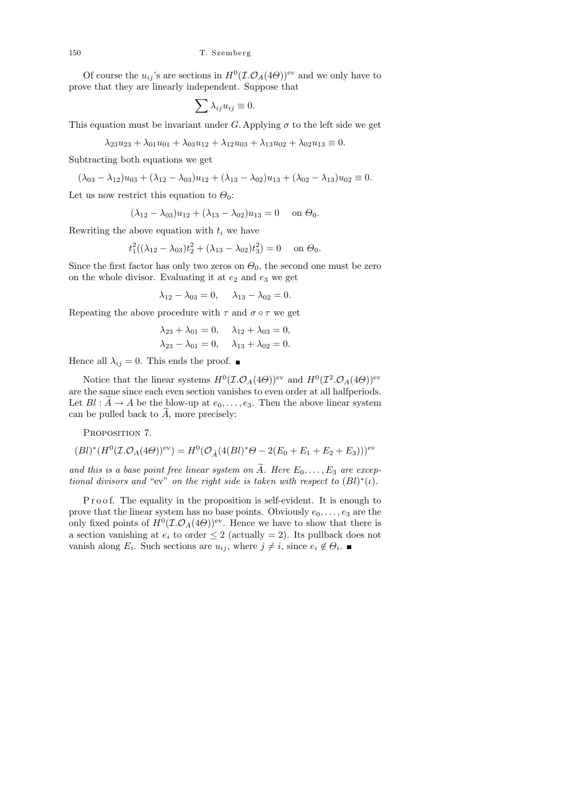Of course the  $u_{ij}$ 's are sections in  $H^0(\mathcal{I}.\mathcal{O}_A(4\Theta))$ <sup>ev</sup> and we only have to prove that they are linearly independent. Suppose that

$$
\sum \lambda_{ij} u_{ij} \equiv 0.
$$

This equation must be invariant under G. Applying  $\sigma$  to the left side we get

 $\lambda_{23}u_{23} + \lambda_{01}u_{01} + \lambda_{03}u_{12} + \lambda_{12}u_{03} + \lambda_{13}u_{02} + \lambda_{02}u_{13} \equiv 0.$ 

Subtracting both equations we get

$$
(\lambda_{03} - \lambda_{12})u_{03} + (\lambda_{12} - \lambda_{03})u_{12} + (\lambda_{13} - \lambda_{02})u_{13} + (\lambda_{02} - \lambda_{13})u_{02} \equiv 0.
$$

Let us now restrict this equation to  $\Theta_0$ :

$$
(\lambda_{12} - \lambda_{03})u_{12} + (\lambda_{13} - \lambda_{02})u_{13} = 0 \quad \text{on } \Theta_0.
$$

Rewriting the above equation with  $t_i$  we have

$$
t_1^2((\lambda_{12}-\lambda_{03})t_2^2+(\lambda_{13}-\lambda_{02})t_3^2)=0 \text{ on } \Theta_0.
$$

Since the first factor has only two zeros on  $\Theta_0$ , the second one must be zero on the whole divisor. Evaluating it at  $e_2$  and  $e_3$  we get

$$
\lambda_{12} - \lambda_{03} = 0
$$
,  $\lambda_{13} - \lambda_{02} = 0$ .

Repeating the above procedure with  $\tau$  and  $\sigma \circ \tau$  we get

$$
\lambda_{23} + \lambda_{01} = 0,
$$
  $\lambda_{12} + \lambda_{03} = 0,$   
 $\lambda_{23} - \lambda_{01} = 0,$   $\lambda_{13} + \lambda_{02} = 0.$ 

Hence all  $\lambda_{ij} = 0$ . This ends the proof.  $\blacksquare$ 

Notice that the linear systems  $H^0(\mathcal{I}.\mathcal{O}_A(4\Theta))$ <sup>ev</sup> and  $H^0(\mathcal{I}^2.\mathcal{O}_A(4\Theta))$ <sup>ev</sup> are the same since each even section vanishes to even order at all halfperiods. Let  $Bl : \widetilde{A} \to A$  be the blow-up at  $e_0, \ldots, e_3$ . Then the above linear system can be pulled back to  $A$ , more precisely:

PROPOSITION 7.

$$
(Bl)^*(H^0(\mathcal{I}.\mathcal{O}_A(4\Theta))^{\text{ev}}) = H^0(\mathcal{O}_{\tilde{A}}(4(Bl)^*\Theta - 2(E_0 + E_1 + E_2 + E_3)))^{\text{ev}}
$$

and this is a base point free linear system on  $\tilde{A}$ . Here  $E_0, \ldots, E_3$  are exceptional divisors and "ev" on the right side is taken with respect to  $(Bl)^*(\iota)$ .

P roof. The equality in the proposition is self-evident. It is enough to prove that the linear system has no base points. Obviously  $e_0, \ldots, e_3$  are the only fixed points of  $H^0(\mathcal{I}.\mathcal{O}_A(4\Theta))^{\text{ev}}$ . Hence we have to show that there is a section vanishing at  $e_i$  to order  $\leq 2$  (actually = 2). Its pullback does not vanish along  $E_i$ . Such sections are  $u_{ij}$ , where  $j \neq i$ , since  $e_i \notin \Theta_i$ .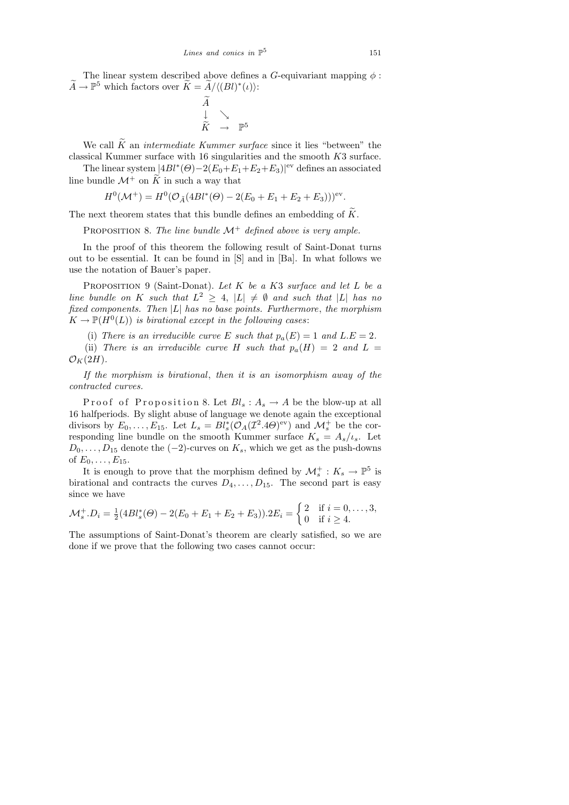The linear system described above defines a G-equivariant mapping  $\phi$ :  $\widetilde{A} \to \mathbb{P}^5$  which factors over  $\widetilde{K} = \widetilde{A}/\langle (Bl)^*(\iota) \rangle$ :

$$
\widetilde{A} \downarrow \searrow
$$
  
\n
$$
\widetilde{K} \rightarrow \mathbb{P}^5
$$

We call  $\widetilde{K}$  an *intermediate Kummer surface* since it lies "between" the classical Kummer surface with 16 singularities and the smooth K3 surface.

The linear system  $|4Bl^*(\Theta)-2(E_0+E_1+E_2+E_3)|^{\text{ev}}$  defines an associated line bundle  $\mathcal{M}^+$  on  $\widetilde{K}$  in such a way that

$$
H^{0}(\mathcal{M}^{+}) = H^{0}(\mathcal{O}_{\tilde{A}}(4Bl^{*}(\Theta) - 2(E_{0} + E_{1} + E_{2} + E_{3})))^{\text{ev}}.
$$

The next theorem states that this bundle defines an embedding of  $\widetilde{K}$ .

PROPOSITION 8. The line bundle  $\mathcal{M}^+$  defined above is very ample.

In the proof of this theorem the following result of Saint-Donat turns out to be essential. It can be found in [S] and in [Ba]. In what follows we use the notation of Bauer's paper.

PROPOSITION 9 (Saint-Donat). Let  $K$  be a  $K3$  surface and let  $L$  be a line bundle on K such that  $L^2 \geq 4$ ,  $|L| \neq \emptyset$  and such that |L| has no fixed components. Then  $|L|$  has no base points. Furthermore, the morphism  $K \to \mathbb{P}(H^0(L))$  is birational except in the following cases:

(i) There is an irreducible curve E such that  $p_a(E) = 1$  and  $L.E = 2$ .

(ii) There is an irreducible curve H such that  $p_a(H) = 2$  and  $L =$  $\mathcal{O}_K(2H)$ .

If the morphism is birational, then it is an isomorphism away of the contracted curves.

Proof of Proposition 8. Let  $Bl_s: A_s \to A$  be the blow-up at all 16 halfperiods. By slight abuse of language we denote again the exceptional divisors by  $E_0, \ldots, E_{15}$ . Let  $L_s = Bl_s^*(\mathcal{O}_A(\mathcal{I}^2.4\Theta)^{\text{ev}})$  and  $\mathcal{M}_s^+$  be the corresponding line bundle on the smooth Kummer surface  $K_s = A_s/\iota_s$ . Let  $D_0, \ldots, D_{15}$  denote the (−2)-curves on  $K_s$ , which we get as the push-downs of  $E_0, \ldots, E_{15}$ .

It is enough to prove that the morphism defined by  $\mathcal{M}_s^+$ :  $K_s \to \mathbb{P}^5$  is birational and contracts the curves  $D_4, \ldots, D_{15}$ . The second part is easy since we have

$$
\mathcal{M}_s^+.D_i = \frac{1}{2}(4Bl_s^*(\Theta) - 2(E_0 + E_1 + E_2 + E_3)).2E_i = \begin{cases} 2 & \text{if } i = 0, \ldots, 3, \\ 0 & \text{if } i \ge 4. \end{cases}
$$

The assumptions of Saint-Donat's theorem are clearly satisfied, so we are done if we prove that the following two cases cannot occur: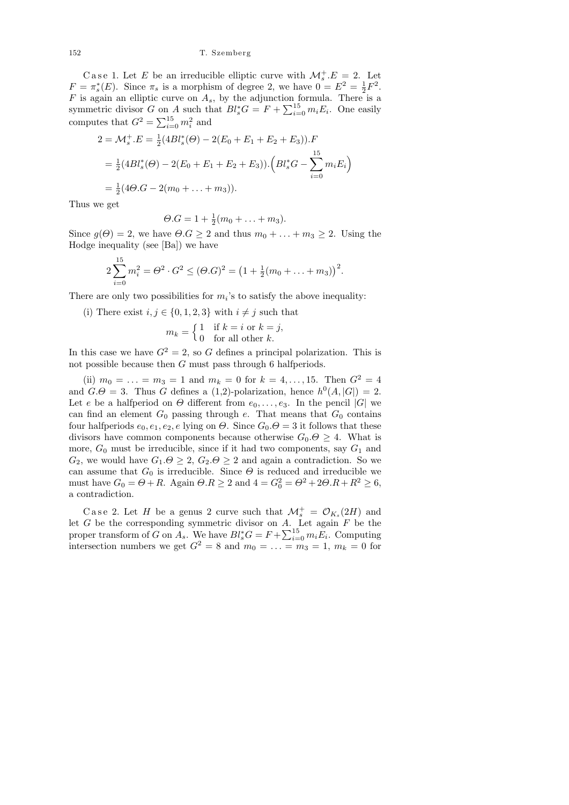152 T. Szemberg

Case 1. Let E be an irreducible elliptic curve with  $\mathcal{M}_s^+ . E = 2$ . Let  $F = \pi_s^*(E)$ . Since  $\pi_s$  is a morphism of degree 2, we have  $0 = E^2 = \frac{1}{2}$  $\frac{1}{2}F^2$ .  $F$  is again an elliptic curve on  $A_s$ , by the adjunction formula. There is a symmetric divisor G on A such that  $Bl_s^*G = F + \sum_{i=0}^{15} m_i E_i$ . One easily computes that  $G^2 = \sum_{i=0}^{15} m_i^2$  and

$$
2 = \mathcal{M}_s^+ . E = \frac{1}{2} (4Bl_s^*(\Theta) - 2(E_0 + E_1 + E_2 + E_3)).F
$$
  
=  $\frac{1}{2} (4Bl_s^*(\Theta) - 2(E_0 + E_1 + E_2 + E_3)). (Bl_s^* G - \sum_{i=0}^{15} m_i E_i)$   
=  $\frac{1}{2} (4\Theta \cdot G - 2(m_0 + \dots + m_3)).$ 

Thus we get

$$
\Theta.G = 1 + \frac{1}{2}(m_0 + \ldots + m_3).
$$

Since  $g(\Theta) = 2$ , we have  $\Theta.G \geq 2$  and thus  $m_0 + \ldots + m_3 \geq 2$ . Using the Hodge inequality (see [Ba]) we have

$$
2\sum_{i=0}^{15} m_i^2 = \Theta^2 \cdot G^2 \leq (\Theta \cdot G)^2 = \left(1 + \frac{1}{2}(m_0 + \dots + m_3)\right)^2.
$$

There are only two possibilities for  $m_i$ 's to satisfy the above inequality:

(i) There exist  $i, j \in \{0, 1, 2, 3\}$  with  $i \neq j$  such that

$$
m_k = \begin{cases} 1 & \text{if } k = i \text{ or } k = j, \\ 0 & \text{for all other } k. \end{cases}
$$

In this case we have  $G^2 = 2$ , so G defines a principal polarization. This is not possible because then G must pass through 6 halfperiods.

(ii)  $m_0 = \ldots = m_3 = 1$  and  $m_k = 0$  for  $k = 4, \ldots, 15$ . Then  $G^2 = 4$ and  $G.\Theta = 3$ . Thus G defines a (1,2)-polarization, hence  $h^0(A, |G|) = 2$ . Let e be a halfperiod on  $\Theta$  different from  $e_0, \ldots, e_3$ . In the pencil |G| we can find an element  $G_0$  passing through e. That means that  $G_0$  contains four halfperiods  $e_0, e_1, e_2, e$  lying on  $\Theta$ . Since  $G_0 \cdot \Theta = 3$  it follows that these divisors have common components because otherwise  $G_0 \cdot \Theta \geq 4$ . What is more,  $G_0$  must be irreducible, since if it had two components, say  $G_1$  and  $G_2$ , we would have  $G_1 \cdot \Theta \geq 2$ ,  $G_2 \cdot \Theta \geq 2$  and again a contradiction. So we can assume that  $G_0$  is irreducible. Since  $\Theta$  is reduced and irreducible we must have  $G_0 = \Theta + R$ . Again  $\Theta.R \geq 2$  and  $4 = G_0^2 = \Theta^2 + 2\Theta.R + R^2 \geq 6$ , a contradiction.

Case 2. Let H be a genus 2 curve such that  $\mathcal{M}_s^+ = \mathcal{O}_{K_s}(2H)$  and let  $G$  be the corresponding symmetric divisor on  $A$ . Let again  $F$  be the proper transform of G on  $\ddot{A_s}$ . We have  $Bl_s^*G = F + \sum_{i=0}^{15} m_i \ddot{E_i}$ . Computing intersection numbers we get  $G^2 = 8$  and  $m_0 = \ldots = m_3 = 1$ ,  $m_k = 0$  for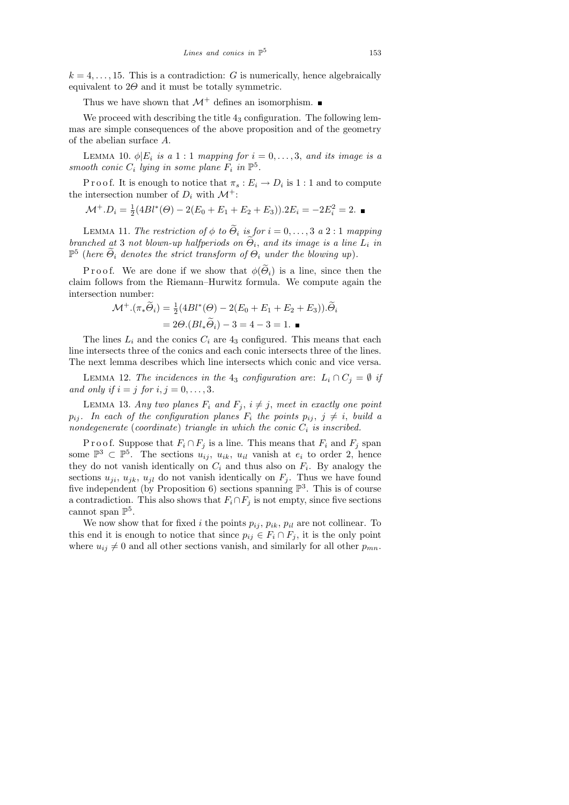$k = 4, \ldots, 15$ . This is a contradiction: G is numerically, hence algebraically equivalent to  $2\Theta$  and it must be totally symmetric.

Thus we have shown that  $\mathcal{M}^+$  defines an isomorphism.

We proceed with describing the title  $4<sub>3</sub>$  configuration. The following lemmas are simple consequences of the above proposition and of the geometry of the abelian surface A.

LEMMA 10.  $\phi | E_i$  is a 1 : 1 mapping for  $i = 0, \ldots, 3$ , and its image is a smooth conic  $C_i$  lying in some plane  $F_i$  in  $\mathbb{P}^5$ .

P r o o f. It is enough to notice that  $\pi_s : E_i \to D_i$  is  $1 : 1$  and to compute the intersection number of  $D_i$  with  $\mathcal{M}^+$ :

 $\mathcal{M}^+ . D_i = \frac{1}{2}$  $\frac{1}{2}(4Bl^*(\Theta) - 2(E_0 + E_1 + E_2 + E_3)) \cdot 2E_i = -2E_i^2 = 2.$ 

LEMMA 11. The restriction of  $\phi$  to  $\widetilde{\Theta}_i$  is for  $i = 0, \ldots, 3$  a 2 : 1 mapping branched at 3 not blown-up halfperiods on  $\Theta_i$ , and its image is a line  $L_i$  in  $\mathbb{P}^5$  (here  $\widetilde{\Theta}_i$  denotes the strict transform of  $\Theta_i$  under the blowing up).

P r o o f. We are done if we show that  $\phi(\tilde{\Theta}_i)$  is a line, since then the claim follows from the Riemann–Hurwitz formula. We compute again the intersection number:

$$
\mathcal{M}^+ \cdot (\pi_* \widetilde{\Theta}_i) = \frac{1}{2} (4Bl^*(\Theta) - 2(E_0 + E_1 + E_2 + E_3)) \cdot \widetilde{\Theta}_i
$$
  
= 2\Theta \cdot (Bl\_\* \widetilde{\Theta}\_i) - 3 = 4 - 3 = 1.

The lines  $L_i$  and the conics  $C_i$  are  $4_3$  configured. This means that each line intersects three of the conics and each conic intersects three of the lines. The next lemma describes which line intersects which conic and vice versa.

LEMMA 12. The incidences in the 43 configuration are:  $L_i \cap C_j = \emptyset$  if and only if  $i = j$  for  $i, j = 0, \ldots, 3$ .

LEMMA 13. Any two planes  $F_i$  and  $F_j$ ,  $i \neq j$ , meet in exactly one point  $p_{ij}$ . In each of the configuration planes  $F_i$  the points  $p_{ij}$ ,  $j \neq i$ , build a nondegenerate (coordinate) triangle in which the conic  $C_i$  is inscribed.

P r o o f. Suppose that  $F_i \cap F_j$  is a line. This means that  $F_i$  and  $F_j$  span some  $\mathbb{P}^3 \subset \mathbb{P}^5$ . The sections  $u_{ij}$ ,  $u_{ik}$ ,  $u_{il}$  vanish at  $e_i$  to order 2, hence they do not vanish identically on  $C_i$  and thus also on  $F_i$ . By analogy the sections  $u_{ji}$ ,  $u_{jk}$ ,  $u_{jl}$  do not vanish identically on  $F_j$ . Thus we have found five independent (by Proposition 6) sections spanning  $\mathbb{P}^3$ . This is of course a contradiction. This also shows that  $F_i \cap F_j$  is not empty, since five sections cannot span  $\mathbb{P}^5$ .

We now show that for fixed i the points  $p_{ij}$ ,  $p_{ik}$ ,  $p_{il}$  are not collinear. To this end it is enough to notice that since  $p_{ij} \in F_i \cap F_j$ , it is the only point where  $u_{ij} \neq 0$  and all other sections vanish, and similarly for all other  $p_{mn}$ .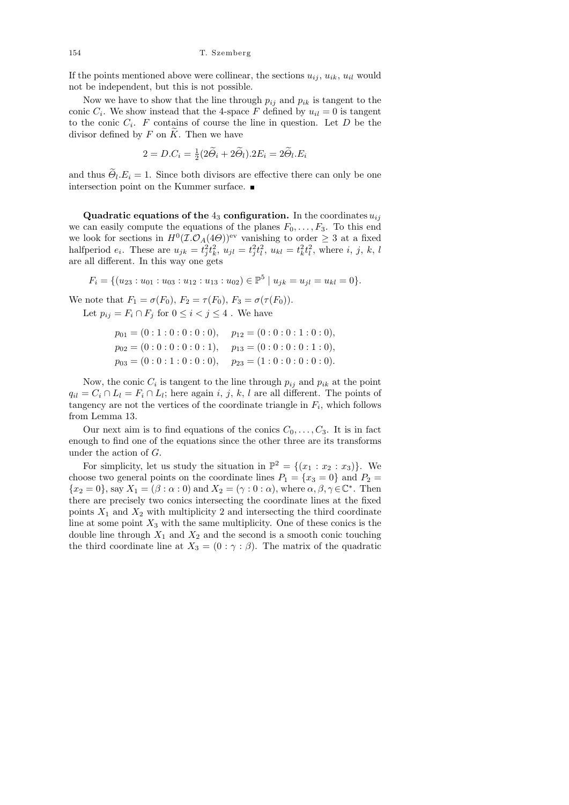154 T. Szemberg

If the points mentioned above were collinear, the sections  $u_{ii}$ ,  $u_{ik}$ ,  $u_{il}$  would not be independent, but this is not possible.

Now we have to show that the line through  $p_{ij}$  and  $p_{ik}$  is tangent to the conic  $C_i$ . We show instead that the 4-space F defined by  $u_{il} = 0$  is tangent to the conic  $C_i$ . F contains of course the line in question. Let D be the divisor defined by F on  $\widetilde{K}$ . Then we have

$$
2 = D.C_i = \frac{1}{2}(2\widetilde{\Theta}_i + 2\widetilde{\Theta}_i).2E_i = 2\widetilde{\Theta}_i.E_i
$$

and thus  $\Theta_l.E_i = 1$ . Since both divisors are effective there can only be one intersection point on the Kummer surface.

Quadratic equations of the  $4_3$  configuration. In the coordinates  $u_{ij}$ we can easily compute the equations of the planes  $F_0, \ldots, F_3$ . To this end we look for sections in  $H^0(\mathcal{I}.\mathcal{O}_A(4\Theta))$ <sup>ev</sup> vanishing to order  $\geq 3$  at a fixed halfperiod  $e_i$ . These are  $u_{jk} = t_j^2 t_k^2$ ,  $u_{jl} = t_j^2 t_l^2$ ,  $u_{kl} = t_k^2 t_l^2$ , where i, j, k, l are all different. In this way one gets

 $F_i = \{ (u_{23} : u_{01} : u_{03} : u_{12} : u_{13} : u_{02}) \in \mathbb{P}^5 \mid u_{jk} = u_{jl} = u_{kl} = 0 \}.$ 

We note that  $F_1 = \sigma(F_0)$ ,  $F_2 = \tau(F_0)$ ,  $F_3 = \sigma(\tau(F_0))$ . Let  $p_{ij} = F_i \cap F_j$  for  $0 \leq i < j \leq 4$ . We have

$$
p_{01} = (0:1:0:0:0:0), \quad p_{12} = (0:0:0:1:0:0),
$$
  
\n
$$
p_{02} = (0:0:0:0:0:1), \quad p_{13} = (0:0:0:0:1:0),
$$
  
\n
$$
p_{03} = (0:0:1:0:0:0), \quad p_{23} = (1:0:0:0:0:0).
$$

Now, the conic  $C_i$  is tangent to the line through  $p_{ij}$  and  $p_{ik}$  at the point  $q_{il} = C_i \cap L_l = F_i \cap L_l$ ; here again i, j, k, l are all different. The points of tangency are not the vertices of the coordinate triangle in  $F_i$ , which follows from Lemma 13.

Our next aim is to find equations of the conics  $C_0, \ldots, C_3$ . It is in fact enough to find one of the equations since the other three are its transforms under the action of G.

For simplicity, let us study the situation in  $\mathbb{P}^2 = \{(x_1 : x_2 : x_3)\}\.$  We choose two general points on the coordinate lines  $P_1 = \{x_3 = 0\}$  and  $P_2 =$  ${x_2 = 0}$ , say  $X_1 = (\beta : \alpha : 0)$  and  $X_2 = (\gamma : 0 : \alpha)$ , where  $\alpha, \beta, \gamma \in \mathbb{C}^*$ . Then there are precisely two conics intersecting the coordinate lines at the fixed points  $X_1$  and  $X_2$  with multiplicity 2 and intersecting the third coordinate line at some point  $X_3$  with the same multiplicity. One of these conics is the double line through  $X_1$  and  $X_2$  and the second is a smooth conic touching the third coordinate line at  $X_3 = (0 : \gamma : \beta)$ . The matrix of the quadratic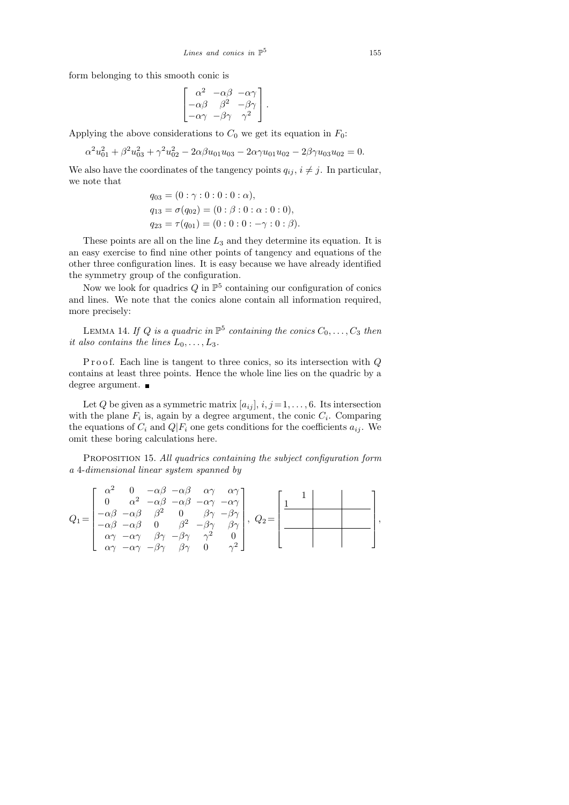form belonging to this smooth conic is

$$
\begin{bmatrix} \alpha^2 & -\alpha\beta & -\alpha\gamma \\ -\alpha\beta & \beta^2 & -\beta\gamma \\ -\alpha\gamma & -\beta\gamma & \gamma^2 \end{bmatrix}.
$$

Applying the above considerations to  $C_0$  we get its equation in  $F_0$ :

$$
\alpha^2 u_{01}^2 + \beta^2 u_{03}^2 + \gamma^2 u_{02}^2 - 2\alpha \beta u_{01} u_{03} - 2\alpha \gamma u_{01} u_{02} - 2\beta \gamma u_{03} u_{02} = 0.
$$

We also have the coordinates of the tangency points  $q_{ij}$ ,  $i \neq j$ . In particular, we note that

$$
q_{03} = (0 : \gamma : 0 : 0 : 0 : \alpha),
$$
  
\n
$$
q_{13} = \sigma(q_{02}) = (0 : \beta : 0 : \alpha : 0 : 0),
$$
  
\n
$$
q_{23} = \tau(q_{01}) = (0 : 0 : 0 : -\gamma : 0 : \beta).
$$

These points are all on the line  $L_3$  and they determine its equation. It is an easy exercise to find nine other points of tangency and equations of the other three configuration lines. It is easy because we have already identified the symmetry group of the configuration.

Now we look for quadrics  $Q$  in  $\mathbb{P}^5$  containing our configuration of conics and lines. We note that the conics alone contain all information required, more precisely:

LEMMA 14. If Q is a quadric in  $\mathbb{P}^5$  containing the conics  $C_0, \ldots, C_3$  then it also contains the lines  $L_0, \ldots, L_3$ .

P r o o f. Each line is tangent to three conics, so its intersection with  $Q$ contains at least three points. Hence the whole line lies on the quadric by a degree argument.

Let Q be given as a symmetric matrix  $[a_{ij}], i, j = 1, \ldots, 6$ . Its intersection with the plane  $F_i$  is, again by a degree argument, the conic  $C_i$ . Comparing the equations of  $C_i$  and  $Q|F_i$  one gets conditions for the coefficients  $a_{ij}$ . We omit these boring calculations here.

PROPOSITION 15. All quadrics containing the subject configuration form a 4-dimensional linear system spanned by

$$
Q_1 = \begin{bmatrix} \alpha^2 & 0 & -\alpha\beta & -\alpha\beta & \alpha\gamma & \alpha\gamma \\ 0 & \alpha^2 & -\alpha\beta & -\alpha\beta & -\alpha\gamma & -\alpha\gamma \\ -\alpha\beta & -\alpha\beta & \beta^2 & 0 & \beta\gamma & -\beta\gamma \\ -\alpha\beta & -\alpha\beta & 0 & \beta^2 & -\beta\gamma & \beta\gamma \\ \alpha\gamma & -\alpha\gamma & \beta\gamma & -\beta\gamma & \gamma^2 & 0 \\ \alpha\gamma & -\alpha\gamma & -\beta\gamma & \beta\gamma & 0 & \gamma^2 \end{bmatrix}, \ Q_2 = \begin{bmatrix} 1 & 1 & 0 & 0 \\ 0 & 1 & 0 & 0 \\ 0 & 0 & 0 & 0 \\ 0 & 0 & 0 & 0 \\ 0 & 0 & 0 & 0 \\ 0 & 0 & 0 & 0 \end{bmatrix},
$$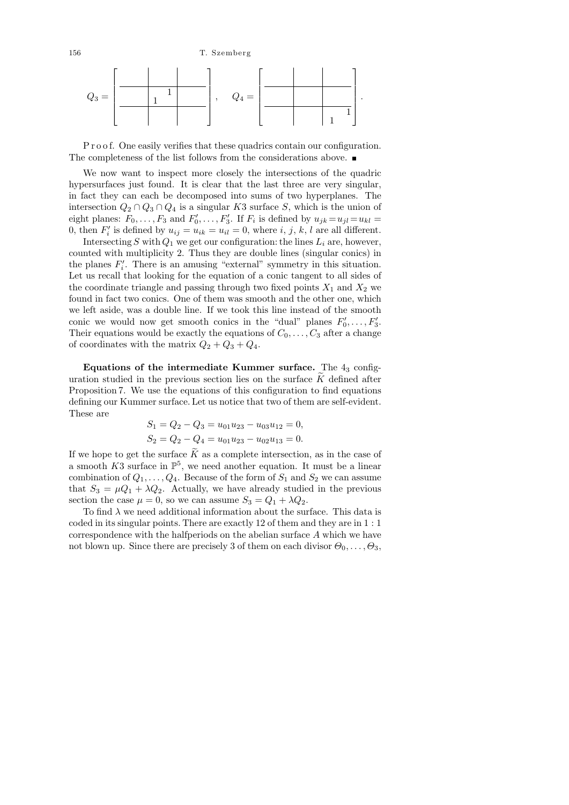

P r o o f. One easily verifies that these quadrics contain our configuration. The completeness of the list follows from the considerations above.

We now want to inspect more closely the intersections of the quadric hypersurfaces just found. It is clear that the last three are very singular, in fact they can each be decomposed into sums of two hyperplanes. The intersection  $Q_2 \cap Q_3 \cap Q_4$  is a singular K3 surface S, which is the union of eight planes:  $F_0, \ldots, F_3$  and  $F'_0, \ldots, F'_3$ . If  $F_i$  is defined by  $u_{jk} = u_{jl} = u_{kl}$ 0, then  $F_i'$  is defined by  $u_{ij} = u_{ik} = u_{il} = 0$ , where i, j, k, l are all different.

Intersecting S with  $Q_1$  we get our configuration: the lines  $L_i$  are, however, counted with multiplicity 2. Thus they are double lines (singular conics) in the planes  $F_i'$ . There is an amusing "external" symmetry in this situation. Let us recall that looking for the equation of a conic tangent to all sides of the coordinate triangle and passing through two fixed points  $X_1$  and  $X_2$  we found in fact two conics. One of them was smooth and the other one, which we left aside, was a double line. If we took this line instead of the smooth conic we would now get smooth conics in the "dual" planes  $F'_0, \ldots, F'_3$ . Their equations would be exactly the equations of  $C_0, \ldots, C_3$  after a change of coordinates with the matrix  $Q_2 + Q_3 + Q_4$ .

Equations of the intermediate Kummer surface. The  $4<sub>3</sub>$  configuration studied in the previous section lies on the surface  $K$  defined after Proposition 7. We use the equations of this configuration to find equations defining our Kummer surface. Let us notice that two of them are self-evident. These are

$$
S_1 = Q_2 - Q_3 = u_{01}u_{23} - u_{03}u_{12} = 0,
$$
  
\n
$$
S_2 = Q_2 - Q_4 = u_{01}u_{23} - u_{02}u_{13} = 0.
$$

If we hope to get the surface  $\widetilde{K}$  as a complete intersection, as in the case of a smooth  $K3$  surface in  $\mathbb{P}^5$ , we need another equation. It must be a linear combination of  $Q_1, \ldots, Q_4$ . Because of the form of  $S_1$  and  $S_2$  we can assume that  $S_3 = \mu Q_1 + \lambda Q_2$ . Actually, we have already studied in the previous section the case  $\mu = 0$ , so we can assume  $S_3 = Q_1 + \lambda Q_2$ .

To find  $\lambda$  we need additional information about the surface. This data is coded in its singular points. There are exactly 12 of them and they are in 1 : 1 correspondence with the halfperiods on the abelian surface A which we have not blown up. Since there are precisely 3 of them on each divisor  $\Theta_0, \ldots, \Theta_3$ ,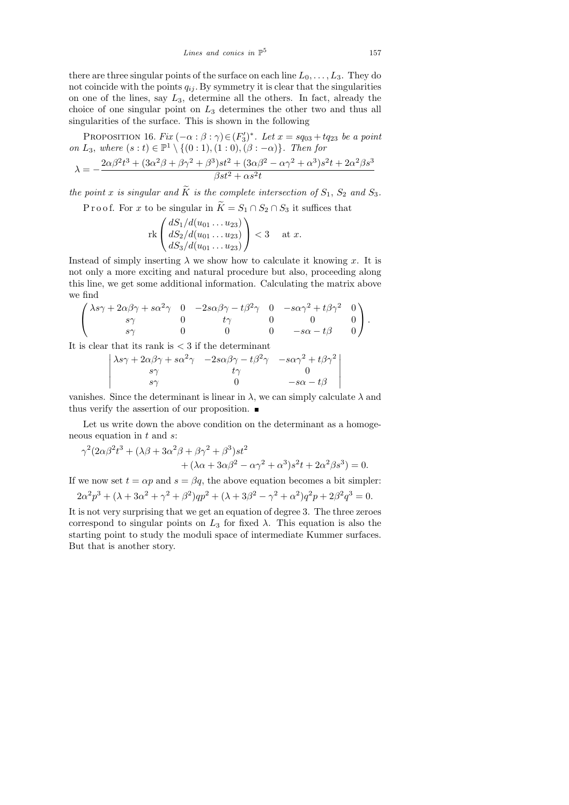there are three singular points of the surface on each line  $L_0, \ldots, L_3$ . They do not coincide with the points  $q_{ij}$ . By symmetry it is clear that the singularities on one of the lines, say  $L_3$ , determine all the others. In fact, already the choice of one singular point on  $L_3$  determines the other two and thus all singularities of the surface. This is shown in the following

PROPOSITION 16. Fix  $(-\alpha : \beta : \gamma) \in (F_3')^*$ . Let  $x = sq_{03} + tq_{23}$  be a point on  $L_3$ , where  $(s:t) \in \mathbb{P}^1 \setminus \{(0:1), (1:0), (\beta:-\alpha)\}.$  Then for

$$
\lambda = -\frac{2\alpha\beta^2t^3 + (3\alpha^2\beta + \beta\gamma^2 + \beta^3)st^2 + (3\alpha\beta^2 - \alpha\gamma^2 + \alpha^3)s^2t + 2\alpha^2\beta s^3}{\beta st^2 + \alpha s^2t}
$$

the point x is singular and  $\widetilde{K}$  is the complete intersection of  $S_1$ ,  $S_2$  and  $S_3$ .

P r o o f. For x to be singular in  $\widetilde{K} = S_1 \cap S_2 \cap S_3$  it suffices that

rk 
$$
\begin{pmatrix} dS_1/d(u_{01} \dots u_{23}) \\ dS_2/d(u_{01} \dots u_{23}) \\ dS_3/d(u_{01} \dots u_{23}) \end{pmatrix} < 3
$$
 at x.

Instead of simply inserting  $\lambda$  we show how to calculate it knowing x. It is not only a more exciting and natural procedure but also, proceeding along this line, we get some additional information. Calculating the matrix above we find

$$
\begin{pmatrix} \lambda s \gamma + 2 \alpha \beta \gamma + s \alpha^2 \gamma & 0 & -2 s \alpha \beta \gamma - t \beta^2 \gamma & 0 & -s \alpha \gamma^2 + t \beta \gamma^2 & 0 \\ s \gamma & 0 & t \gamma & 0 & 0 & 0 \\ s \gamma & 0 & 0 & 0 & -s \alpha - t \beta & 0 \end{pmatrix}.
$$

It is clear that its rank is  $<$  3 if the determinant

$$
\begin{vmatrix} \lambda s \gamma + 2 \alpha \beta \gamma + s \alpha^2 \gamma & -2 s \alpha \beta \gamma - t \beta^2 \gamma & -s \alpha \gamma^2 + t \beta \gamma^2 \\ s \gamma & t \gamma & 0 \\ s \gamma & 0 & -s \alpha - t \beta \end{vmatrix}
$$

vanishes. Since the determinant is linear in  $\lambda$ , we can simply calculate  $\lambda$  and thus verify the assertion of our proposition.  $\blacksquare$ 

Let us write down the above condition on the determinant as a homogeneous equation in  $t$  and  $s$ :

$$
\gamma^2 (2\alpha\beta^2 t^3 + (\lambda\beta + 3\alpha^2\beta + \beta\gamma^2 + \beta^3)st^2 + (\lambda\alpha + 3\alpha\beta^2 - \alpha\gamma^2 + \alpha^3)s^2t + 2\alpha^2\beta s^3) = 0.
$$

If we now set  $t = \alpha p$  and  $s = \beta q$ , the above equation becomes a bit simpler:

$$
2\alpha^2 p^3 + (\lambda + 3\alpha^2 + \gamma^2 + \beta^2)qp^2 + (\lambda + 3\beta^2 - \gamma^2 + \alpha^2)q^2p + 2\beta^2q^3 = 0.
$$

It is not very surprising that we get an equation of degree 3. The three zeroes correspond to singular points on  $L_3$  for fixed  $\lambda$ . This equation is also the starting point to study the moduli space of intermediate Kummer surfaces. But that is another story.